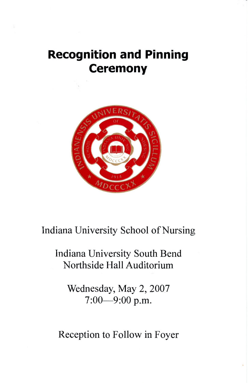# **Recognition and Pinning Ceremony**



# Indiana University School of Nursing

# Indiana University South Bend Northside Hall Auditorium

Wednesday, May 2, 2007 7:00-9:00 p.m.

Reception to Follow in Foyer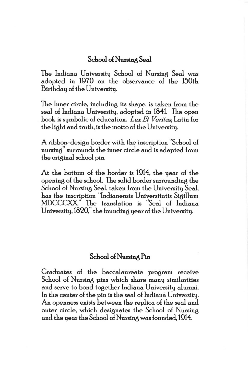#### School of Nursing Seal

The Indiana University School of Nursing Seal was adopted in 1970 on the observance o£ the 150th Birthday o£ the University.

The Inner circle, including its shape, is taken from the seal of Indiana University, adopted in 1841. The open book is symbolic of education. Lux Et Veritas, Latin for the light and truth, is the motto of the University.

A ribbon-design border with the inscription "School of nursing" surrounds the inner circle and is adapted from the original school pin.

At the bottom of the border is 1914, the year of the opening of the school. The solid border surrounding the School of Nursing Seal, taken from the University Seal, has the inscription "Indianensis Universitatis Sigillum MDCCCXX." The translation is "Seal of Indiana University, 1820," the founding year of the University.

#### School of Nursing Pin

Graduates of the baccalaureate program receive School of Nursing pins which share many similarities and serve to bond together Indiana University alumni. In the center of the pin is the seal of Indiana University. An openness exists between the replica of the seal and outer circle, which designates the School of Nursing and the year the School of Nursing was founded, 1914.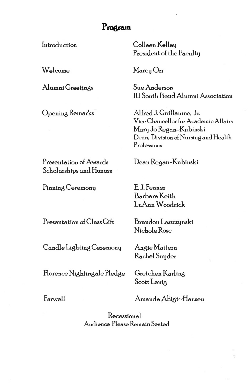### Program

Introduction

Welcome

Alumni Greetings

Opening Remarks

Colleen Kelley President of the Faculty

Marcy Orr

Sue Anderson **IU South Bend Alumni Association** 

Alfred J. Guillaume, Jr. Vice Chancellor for Academic Affairs Mary Jo Regan-Kubinski Dean, Division of Nursing and Health Professions

Presentation of Awards Scholarships and Honors

Pinning Ceremony

Presentation of Class Gift

Candle Lighting Ceremony

Florence Nightingale Pledge

Brandon Leszczynski Nichole Rose

Dean Regan-Kubinski

Angie Mattern Rachel Snyder

E.J. Fenner Barbara Keith LuAnn Woodrick

Gretchen Karling Scott Lenig

Farwell

Amanda Abigt~Hansen

Recessional Audience Please Remain Seated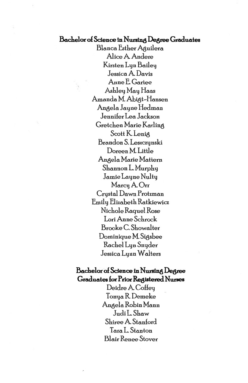#### **Bachelor o£ Science in Nursing Degree Graduates**

Blanca Esther Aquilera Alice A Andere Kirsten Lyn Bailey Jessica A Davis Anne E Cartee Ashley May Haas Amanda M. Abigt-Hansen Angela Jayne Hedman Jennifer Lea Jackson Gretchen Marie Karling Scott K. Lenig Brandon S. Leszczynski Doreen M. Little Angela Marie Mattern Shannon L. Murphy Jamie Layne Nulty Marcy A Orr Crystal Dawn Protzman Emily Elizabeth Ratkiewicz Nichole Raquel Rose Lori Anne Schrock Brooke C. Showalter Dominique M. Sigsbee Rachel Lyn Snyder Jessica Lynn Waiters

#### **Bachelor o£ Science in Nursing Degree Graduates £or Prior Registered. Nurses**

Deidre A. Coffeu TonyaRDemeke Angela Robin Mann JudiL.Shaw Shiree A Stanford Tara L. Stanton Blair Renee Stover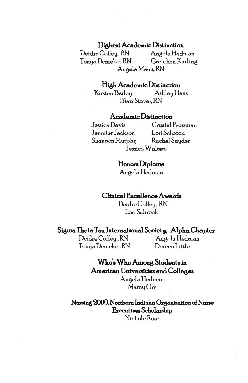#### **Highest Academic Distinction**

Deidre Coffey, RN Angela Hedman Tonya Demeke, RN Gretchen Karling Aneela Mann, RN

#### **High Academic Distinction**

Kirsten Bailey Ashley liaas Blair Stover, RN

#### **Academic Distinction**

Jennifer Jackson Lori Schrock Shannon Murphy Rachel Snyder

Jessica Davis Crystal Protzman Jessica Walters

> **Honors Diploma**  Angela Hedman

#### **Clinical :Excellence Awards**

Deidre Coffey, RN Lori Schrock

#### **Sigma Theta Tau International Sociehj, Alpha Chapter**

Deidre Coffey, RN Angela Hedman Tonya Demeke, RN Doreen Little

## **Who's Who Among Students in American Universities and Colleges**

Angela Hedman Marcy Orr

**Nursing 2000, Northern lnduma Oraantzation o£ Nune &ecutivee Scholarahip**  Nichole Rose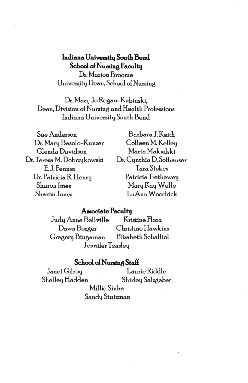# **Indiana. Univenitg South Bend**  School of Nursing Faculty

Dr. Marion Broome University Dean, School of Nursing

Dr. Mary Jo Regan-Kubinski, Dean, Division of Nursing and Health Professions Indiana University South Bend

| Sue Anderson               | Barbara J. Keith         |
|----------------------------|--------------------------|
| Dr. Mary Basolo-Kunzer     | Colleen M. Kelley        |
| Glenda Davidson            | Marta Makielski          |
| Dr. Teresa M. Dobrzykowski | Dr. Cynthia D. Sofhauser |
| E.J. Fenner                | <b>Tara Stokes</b>       |
| Dr. Patricia R. Henry      | Patricia Trethewey       |
| Sharon Imes                | Mary Kay Welle           |
| <b>Sharon Jones</b>        | LuAnn Woodrick           |
|                            |                          |

## **Associate Faculty**

Judy Anne Bellville Kristine Flora. Dawn Berger Christine Hawkins Gregory Bingaman Elizabeth Schalliol Jennifer Teasley

#### **School of Nursing Staff**

Janet Gilroy Laurie Riddle Shelley Hadden Shirley Salzgeber Millie Sinha. Sandy Stutzman